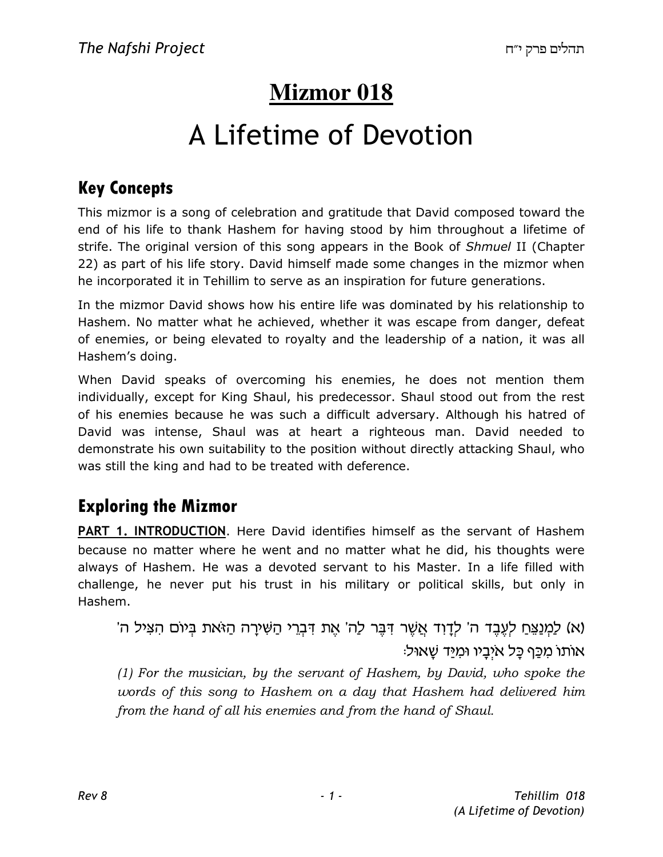# **Mizmor 018**

# A Lifetime of Devotion

### Key Concepts

This mizmor is a song of celebration and gratitude that David composed toward the end of his life to thank Hashem for having stood by him throughout a lifetime of strife. The original version of this song appears in the Book of Shmuel II (Chapter 22) as part of his life story. David himself made some changes in the mizmor when he incorporated it in Tehillim to serve as an inspiration for future generations.

In the mizmor David shows how his entire life was dominated by his relationship to Hashem. No matter what he achieved, whether it was escape from danger, defeat of enemies, or being elevated to royalty and the leadership of a nation, it was all Hashem's doing.

When David speaks of overcoming his enemies, he does not mention them individually, except for King Shaul, his predecessor. Shaul stood out from the rest of his enemies because he was such a difficult adversary. Although his hatred of David was intense, Shaul was at heart a righteous man. David needed to demonstrate his own suitability to the position without directly attacking Shaul, who was still the king and had to be treated with deference.

#### Exploring the Mizmor

PART 1. INTRODUCTION. Here David identifies himself as the servant of Hashem because no matter where he went and no matter what he did, his thoughts were always of Hashem. He was a devoted servant to his Master. In a life filled with challenge, he never put his trust in his military or political skills, but only in Hashem.

'א) למנצח לעבד ה' לדוד אַשֶׁר דְּבֵּר לָה' אֶת דְּבֵרִי הַשִּׁירַה הַזֹּאת בִיוֹם הַצִּיל ה) :אותו מכֵף כֵּל איָבֵיו וּמַיַּד שָׁאוּל

(1) For the musician, by the servant of Hashem, by David, who spoke the words of this song to Hashem on a day that Hashem had delivered him from the hand of all his enemies and from the hand of Shaul.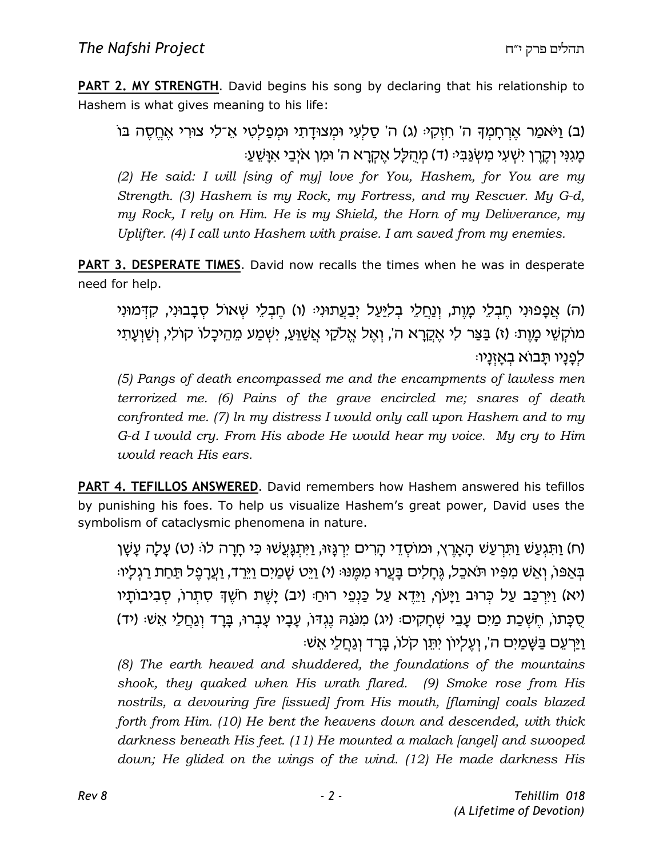**PART 2. MY STRENGTH.** David begins his song by declaring that his relationship to Hashem is what gives meaning to his life:

(ב) וַיֹּאמַר אֵרְחַמִךּ ה' חִזְקִי: (ג) ה' סַלְעִי וּמִצוּדַתִי וּמִפַּלְטִי אֵ־לִי צוּרִי אֱחֵסֶה בּוֹ ּ כַּוֹגְנִּי וְקֶרֵן יִשְׁעִי מְשָׂגֲבִיּ (ד) מְהָלַל אֱקְרֵא ה' וּמְן אֹיְבֵי אִוַּשֵּׁעַי

(2) He said: I will [sing of my] love for You, Hashem, for You are my Strength. (3) Hashem is my Rock, my Fortress, and my Rescuer. My G-d, my Rock, I rely on Him. He is my Shield, the Horn of my Deliverance, my Uplifter. (4) I call unto Hashem with praise. I am saved from my enemies.

PART 3. DESPERATE TIMES. David now recalls the times when he was in desperate need for help.

ה) אֱפֵפוּנִי חֵבְלֵי מֵוֶת, וְנַחֲלֵי בִלִיּעַל יִבַעֲתוּנִי: (ו) חֵבְלֵי שָׁאוֹל סְבַבוּנִי, קִדְּמוּנִי) מוֹקָשֵׁי מָוֶת: (ז) בַּצַּר לִי אֵקֲרָא ה', וְאֵל אֱלֹקֵי אֲשֶׁוֶעָ, יִשְׁמַע מֵהֵיכָלוֹ קוֹלִי, וְשַׁוְעֶתִי ּלְפַנַיו תַבוֹא בְאַזְנַיו

(5) Pangs of death encompassed me and the encampments of lawless men terrorized me. (6) Pains of the grave encircled me; snares of death confronted me. (7) ln my distress I would only call upon Hashem and to my G-d I would cry. From His abode He would hear my voice. My cry to Him would reach His ears.

PART 4. TEFILLOS ANSWERED. David remembers how Hashem answered his tefillos by punishing his foes. To help us visualize Hashem's great power, David uses the symbolism of cataclysmic phenomena in nature.

(ח) וַתְּגְעֲשׁ וַתְּרְעֲשׁ הַאֲרֶץ, וּמוֹסְדֵי הַרִים יִרְגֵּזוּ, וַיִּתְגַּעֲשׁוּ כִּי חַרָה לוֹ: (ט) עַלַה עַשַׁן בְּאַפּוֹ, וְאֵשׁ מִפִּיו תֹּאכֶל, גֶּחַלִים בַּעֲרוּ מִמֵּנוּּ (י) וַיֵּט שַׁמַיִם וַיֵּרַד, וַעֲרַפֶּל תַּחַת רַגְלִיוּ יא) וַיִּרְכָּב עַל כְּרוּב וַיַּעֹף, וַיֵּדֵא עַל כַּנְפֵי רוּחַ: (יב) יַשֶׁת חֹשֵׁךְ סְתְרוֹ, סְבִיבוֹתַיו) ּסֻכָּתוֹ, חֵשְׁכַַת מַיִּם עֲבֵי שִׁחַקִים: (יג) מִנֹּגַהּ נֵגְדּוֹ, עֲבָיו עַבְרוּ, בַּרַד וְגַחֲלֵי אֵשׁ: (יד) <u>וַיַּרְעֶם בַּשֶּׁמַיִם ה', וְעֱלְיוֹן יְתֵּן קֹלוֹ, בַּרְד וְגַחֲלֵי א</u>ֲשִׁי

(8) The earth heaved and shuddered, the foundations of the mountains shook, they quaked when His wrath flared. (9) Smoke rose from His nostrils, a devouring fire [issued] from His mouth, [flaming] coals blazed forth from Him. (10) He bent the heavens down and descended, with thick darkness beneath His feet. (11) He mounted a malach [angel] and swooped down; He glided on the wings of the wind. (12) He made darkness His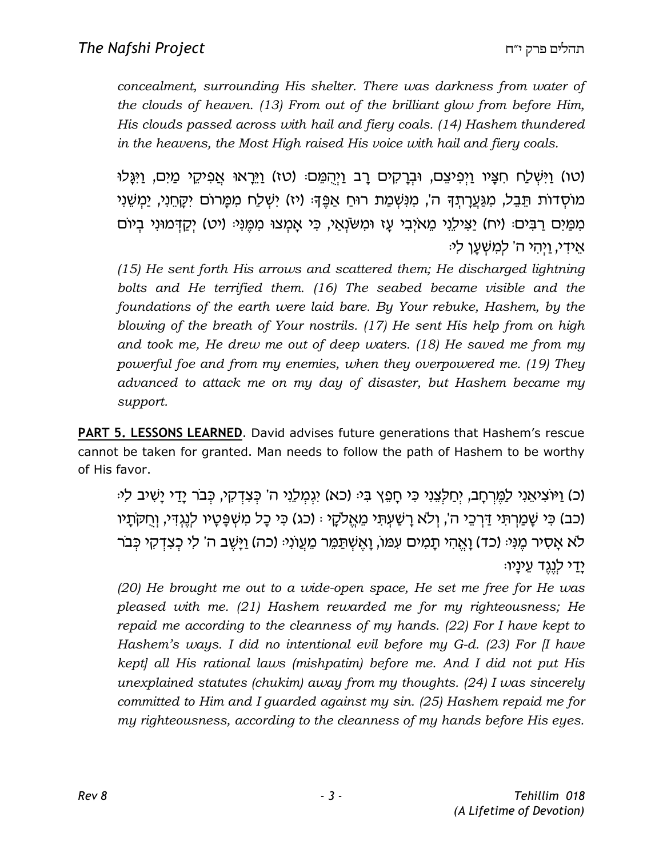concealment, surrounding His shelter. There was darkness from water of the clouds of heaven. (13) From out of the brilliant glow from before Him, His clouds passed across with hail and fiery coals. (14) Hashem thundered in the heavens, the Most High raised His voice with hail and fiery coals.

(טו) וַיִּשְׁלַח חִצָּיו וַיִּפִיצֵם, וּבְרָקִים רָב וַיִּהָמֵם: (טז) וַיֵּרָאוּ אֲפִיקֵי מַיִּם, וַיְּגָּלוּ מוֹסְדוֹת תֵּבֵל, מִגַּעֲרָתִךָּ ה', מִנִּשְׁמַת רוּחַ אַפֵּךְ: (יז) יִשְׁלַח מִמָּרוֹם יִקֲחֵנִי, יַמִשְׁנִי מִמַּיִּם רַבִּים: (יח) יַצִּילֵנִי מֵאיִבִי עָז וּמִשׂנְאַי, כִּי אָמִצוּ מִמֵּנִי: (יט) יִקֲדָּמוּנִי בִיוֹם אַידי, וַיְהַי ה' לְמֵשָׁעֵן לִי:

(15) He sent forth His arrows and scattered them; He discharged lightning bolts and He terrified them. (16) The seabed became visible and the foundations of the earth were laid bare. By Your rebuke, Hashem, by the blowing of the breath of Your nostrils. (17) He sent His help from on high and took me, He drew me out of deep waters. (18) He saved me from my powerful foe and from my enemies, when they overpowered me. (19) They advanced to attack me on my day of disaster, but Hashem became my support.

PART 5. LESSONS LEARNED. David advises future generations that Hashem's rescue cannot be taken for granted. Man needs to follow the path of Hashem to be worthy of His favor.

(כ) וַיּוֹצְיאֵנִי לַמֵּרחַב, יְחַלְצְנֵי כִּי חַפָּץ בִּיּ (כֹא) יְגְמַלְנֵי ה' כִּצְדָקִי, כָּבֹר יַדֵי יַשִׁיב לִי (כב) כֵּי שַׁמֲרתִּי דַּרְכֵי ה', וְלֹא רַשָּׁעָתֵי מֵאֱלֹקָי : (כג) כִּי כַל מִשָּׁפַּטֵיו לְנֵגְדִי, וְחִקֹּתֵיו לא אסיר מֵנִי: (כד) ואהי תמים עמו, ואשתמר מעוני: (כה) וַיַּשָׁב ה' לי כְצַדְקִי כְּבֹר ודי לנגד עיניו:

(20) He brought me out to a wide-open space, He set me free for He was pleased with me. (21) Hashem rewarded me for my righteousness; He repaid me according to the cleanness of my hands. (22) For I have kept to Hashem's ways. I did no intentional evil before my G-d. (23) For [I have kept] all His rational laws (mishpatim) before me. And I did not put His unexplained statutes (chukim) away from my thoughts. (24) I was sincerely committed to Him and I guarded against my sin. (25) Hashem repaid me for my righteousness, according to the cleanness of my hands before His eyes.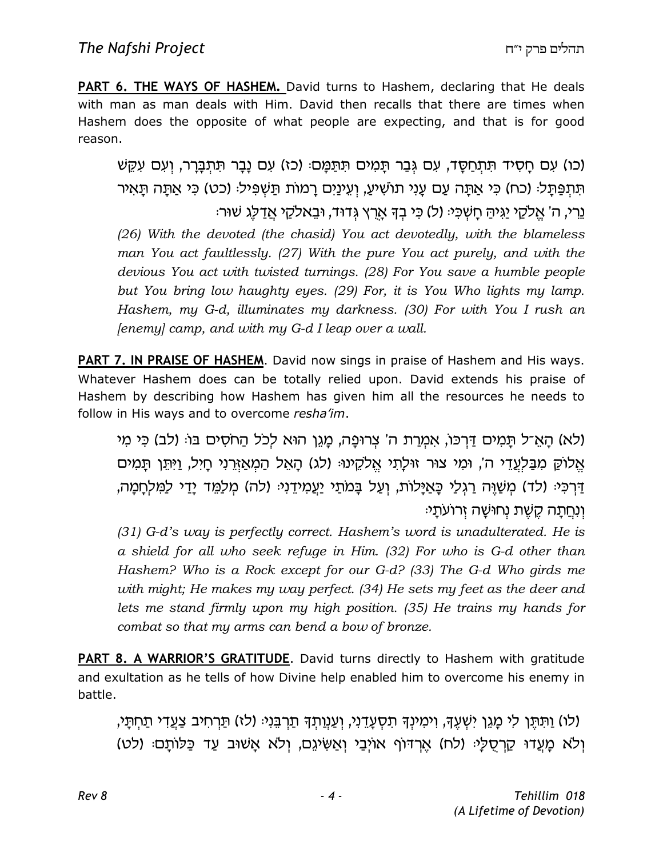PART 6. THE WAYS OF HASHEM. David turns to Hashem, declaring that He deals with man as man deals with Him. David then recalls that there are times when Hashem does the opposite of what people are expecting, and that is for good reason.

(כו) עִם חַסְיד תִּתְחַסֵּד, עִם גִּבַר תַּמְים תִּתַּמֵּם: (כז) עִם נַבַר תִּתִבַּרֵר, וְעִם עִקֵשׁ תִּתְפַּתְּל׃ (כח) כִּי אֲתָה עַם עָנִי תוֹשִׁיעַ, וְעֵינַיִם רָמוֹת תַּשִׁפִּיל׃ (כט) כִּי אַתַּה תַּאִיר ּנֵרי, ה' אֱלֹקֵי יַגֵּיהַ חֲשִׁכִּיּ (ל) כִּי בִדְּ אֲרֶץ גֵּדוּד, וּבֵאלֹקָי אֲדַלֶּג שִׁוּרִי (26) With the devoted (the chasid) You act devotedly, with the blameless man You act faultlessly. (27) With the pure You act purely, and with the devious You act with twisted turnings. (28) For You save a humble people but You bring low haughty eyes. (29) For, it is You Who lights my lamp. Hashem, my G-d, illuminates my darkness. (30) For with You I rush an  $[$ enemy] camp, and with my G-d I leap over a wall.

PART 7. IN PRAISE OF HASHEM. David now sings in praise of Hashem and His ways. Whatever Hashem does can be totally relied upon. David extends his praise of Hashem by describing how Hashem has given him all the resources he needs to follow in His ways and to overcome resha'im.

(לא) הַאֵ־ל תַּמִים דַּרְכּו, אִמְרַת ה' צְרוּפָה, מַגֶן הוּא לְכֹל הַחֹסִים בּוּ: (לב) כִּי מִי אֱלוֹקָ מִבַּלְעֲדֵי ה', וּמִי צוּר זוּלַתִי אֱלֹקֶינוּּ (לג) הָאֱל הַמְאַזֶּרְנִי חַיִּל, וַיְּתֵּן תַּמִים ַדְרְכָּי: (לד) מְשָׁוֶּה רַגְלֵי כַּאַיַּלוֹת, וְעַל בַּמֹתֵי יַעֲמִידֶנְיּ: (לה) מִלַמֵּד יַדַי לַמְלִחֲמַה, וְנְחֵתַה קֵשֶׁת נְחוּשַׁה זְרוֹעֹתַ<sup>,</sup>

(31) G-d's way is perfectly correct. Hashem's word is unadulterated. He is a shield for all who seek refuge in Him. (32) For who is G-d other than Hashem? Who is a Rock except for our G-d? (33) The G-d Who girds me with might; He makes my way perfect. (34) He sets my feet as the deer and lets me stand firmly upon my high position. (35) He trains my hands for combat so that my arms can bend a bow of bronze.

**PART 8. A WARRIOR'S GRATITUDE**. David turns directly to Hashem with gratitude and exultation as he tells of how Divine help enabled him to overcome his enemy in battle.

'(לו) וַתְּתֵּן לִי מַגֶן יִשְׁעֵךָ, וִימִינִךְ תִסְעֲדֵנִי, וְעַנְוַתְךָ תַרְבֵּנִיּ (לו) תַּרְחִיב צַעֲדִי תַחְתֵּי, וְלֹא מָעֲדוּ קַרְסֻלָּי (לח) אֶרְדוֹף אוֹיְבַי וְאַשִׂיגֵם, וְלֹא אֲשׁוּב עַד כַּלּוֹתַם: (לט)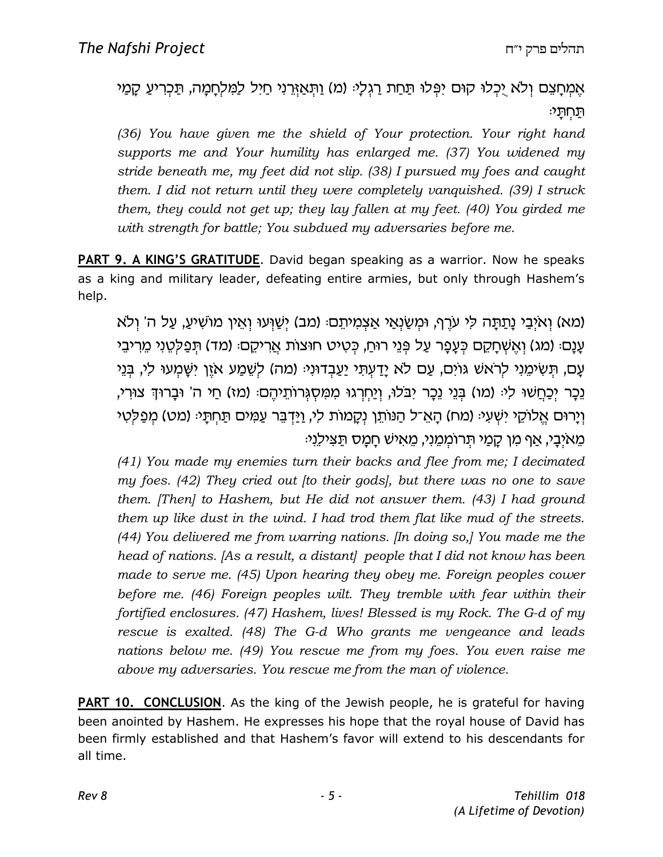#### אֵמְחָצֵם וְלֹא יָכְלוּ קוּם יִפְּלוּ תַּחַת רַגִּלְיּ (מ) וַתְּאַזְרֵנִי חַיִּל לַמְלִחְמָה, תַּכְרִיעַ קָמַי  $\vec{r}$ תַחְתַּ

(36) You have given me the shield of Your protection. Your right hand supports me and Your humility has enlarged me. (37) You widened my stride beneath me, my feet did not slip. (38) I pursued my foes and caught them. I did not return until they were completely vanquished. (39) I struck them, they could not get up; they lay fallen at my feet. (40) You girded me with strength for battle; You subdued my adversaries before me.

PART 9. A KING'S GRATITUDE. David began speaking as a warrior. Now he speaks as a king and military leader, defeating entire armies, but only through Hashem's help.

(מא) וְאיְבֵי נַתֲתָּה לִי עֹרֶף, וּמְשֻׂנְאֵי אֲצְמִיתֶם: (מב) יִשָּׁוְעוּ וְאֵין מוֹשִׁיעַ, עַל ה' וְלֹא עַנַם (מג) וְאֵשְׁחַקֵם כְּעֲפַר עַל פְּנֵי רוּחַ, כְּטִיט חוּצוֹת אֲרִיקֵם (מד) תִּפַלְטֵנִי מֵרִיבֵי עַם, תְּשִׂימֶנִי לְרֹאשׁ גּוֹיִם, עַם לֹא יַדַעְתִּי יַעֲבְדוּנְיּ: (מה) לְשֶׁמַע אֹיֶן יִשָּׁמְעוּ לִי, בְּנֵי 'וֵכָר יִכַּחֲשׁוּ לִיּ (מו) בִּנֵי נֵכָר יִבֹּלוּ, וְיַחִרְגוּ מִמְּסְגְרוֹתֵיהֵם: (מז) חַי ה' וּבָרוּךְ צוּרִי, וְיַרוּם אֱלוֹקֵי יִשְׁעִיּ (מח) הַאֱ־ל הַנּוֹתֵן נְקַמוֹת לִי, וַיַּדְבֵּר עֲמִים תַּחִתַּיּ (מט) מִפַּלְטִי ּמֵאֹיְבַי, אַף מִן קַמַי תִּרוֹמְמֶנִי, מֵאִישׁ חַמַּס תַּצִילֵנִי

(41) You made my enemies turn their backs and flee from me; I decimated my foes. (42) They cried out [to their gods], but there was no one to save them. [Then] to Hashem, but He did not answer them. (43) I had ground them up like dust in the wind. I had trod them flat like mud of the streets. (44) You delivered me from warring nations. [In doing so,] You made me the head of nations. [As a result, a distant] people that I did not know has been made to serve me. (45) Upon hearing they obey me. Foreign peoples cower before me. (46) Foreign peoples wilt. They tremble with fear within their fortified enclosures. (47) Hashem, lives! Blessed is my Rock. The G-d of my rescue is exalted. (48) The G-d Who grants me vengeance and leads nations below me. (49) You rescue me from my foes. You even raise me above my adversaries. You rescue me from the man of violence.

PART 10. CONCLUSION. As the king of the Jewish people, he is grateful for having been anointed by Hashem. He expresses his hope that the royal house of David has been firmly established and that Hashem's favor will extend to his descendants for all time.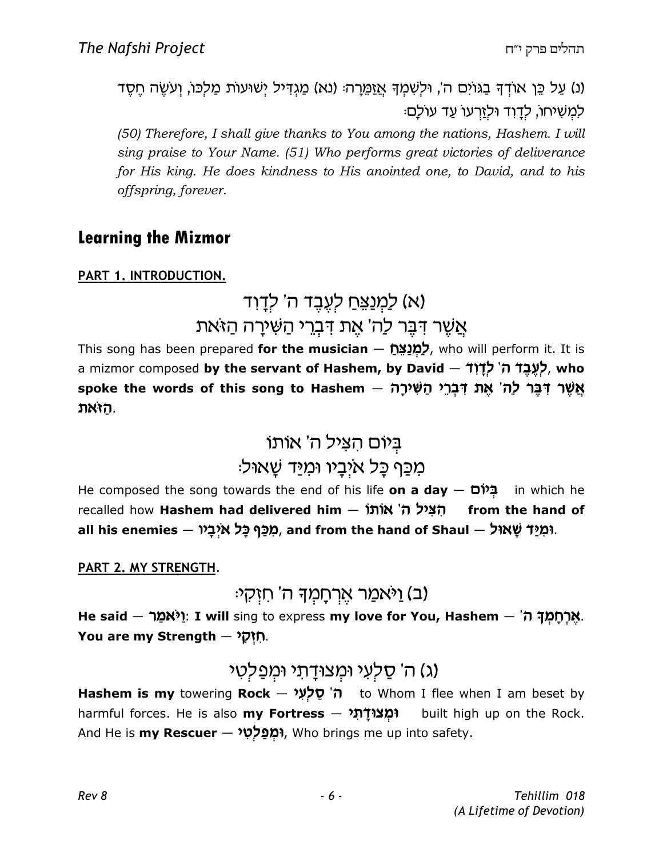(נ) עַל כֵּן אוֹדְךָּ בַגּוֹיִם ה', וּלְשָׁמִךְ אֲזַמֵּרַהּ (נא) מַגְדְיל יִשׁוּעוֹת מַלְכּוֹ, וְעֹשֶׂה חֵסֶד למשיחו, לדוד ולזרעו עד עולם:

(50) Therefore, I shall give thanks to You among the nations, Hashem. I will sing praise to Your Name. (51) Who performs great victories of deliverance for His king. He does kindness to His anointed one, to David, and to his offspring, forever.

#### Learning the Mizmor

PART 1. INTRODUCTION.

# (א) לַמְנַצֵּחַ לְעֲבֶד ה' לְדַוִד אֵשֶׁר דִּבֶּר לַה' אֶת דִּבְרִי הַשִּׁירַה הַזאת

This song has been prepared **for the musician**  $-$  לְמְנַצֵּח who will perform it. It is a mizmor composed **by the servant of Hashem, by David – לְעֶבֶד ה**' **לְדָוִד, who** spoke the words of this song to Hashem  $-$  אֲשֶׁר דְּבֶּר לַה' אֶת דְּבְר הַשִּׁירָה האת.

# ביום הציל ה' אותו מִכֵּף כָּל איִבָיו וּמִיַּד שָׁאוּל<sup>ָ</sup>:

He composed the song towards the end of his life on a day  $-$  Different in which he recalled how **Hashem had delivered him — הִצְיל ה' אוֹתוֹ** from the hand of all his enemies — מְכַּף כָּל איְבָיו, and from the hand of Shaul – גּמְיַּד שָׁאוּל,

PART 2. MY STRENGTH.

ב) וַיֹּאמַר אַרְחַמְדָּ ה' חזְקָי

He said — אֲרָחֲמֶךָ ה'. I will sing to express my love for You, Hashem — אֲרָחֲמֶךָ ה You are my Strength  $-$  יְחַ<mark>יְק</mark>ִל

#### (ג) ה' סַלְעִי וּמְצוּדַתי וּמִפַלְטִי

Hashem is my towering Rock – ה' סַלְעִי to Whom I flee when I am beset by harmful forces. He is also my Fortress  $-$  וּמְצוּדָת built high up on the Rock. And He is **my Rescuer — וּמְפַלְטִי,** Who brings me up into safety.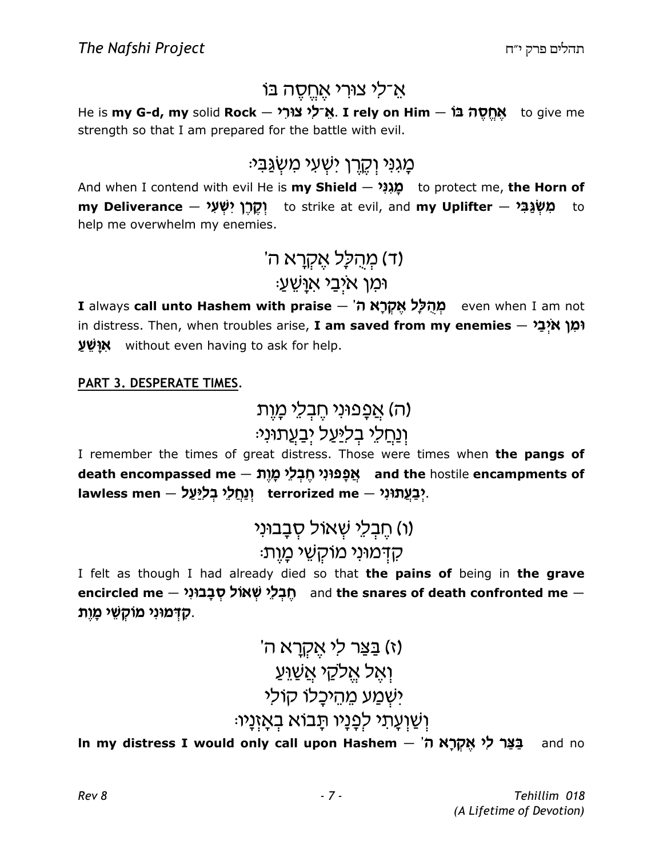### אַ־לִי צוּרִי אֲחֱסֶה בּוֹ

He is **my G-d, my** solid **Rock — אֵ־לִי צוּרִי. I rely on Him — אֱחֱסֶה בֿוֹ** strength so that I am prepared for the battle with evil.

### ּמַגְנַי וְקֶרֶן ישָׁעַי מַשָ<u>ׂנ</u>ְבִי

And when I contend with evil He is **my Shield — מְגִנִּי c** to protect me, **the Horn of** my Deliverance — מְשְׂנֵבִּי to strike at evil, and my Uplifter — מִשְּׂנֵבִּי help me overwhelm my enemies.

# 'ת מהלל אקרא ה) : ומן איָבֵי אוַ<sup>ּ</sup>שֵׁעַ

I always call unto Hashem with praise – מְהָלַל אֱקְרָא ה<sup>י</sup> even when I am not in distress. Then, when troubles arise, **I am saved from my enemies**  $-$  **וֹמָן אֹיְבַי** אוּשׁע without even having to ask for help.

#### PART 3. DESPERATE TIMES.

ה) אַפְפוּנִי חֵבְלֵי מַוֵת) ו<u>ַנְחַלֵ</u>י בִל<u>ִיּע</u>ַל יִבַעֲתוּנִי:

I remember the times of great distress. Those were times when the pangs of death encompassed me — אֲפָנּוּנִי חֶבְלֵי מָוֶת and the hostile encampments of lawless men – יְבַעֲתוּנִי terrorized me – יְבַעֲתוּנִי

> h) חֵבָלֵי שָׁאוֹל סָבָבוּנִי) ּקִדְּמוּנִי מוֹקָשֶׁי מַוֵּת:

I felt as though I had already died so that the pains of being in the grave encircled me — הֶבְלֵי שְׁאוֹל סְבָבוּנִי, and the snares of death confronted me — קדמוּנִי מוֹקָשֵׁי מָוֶת.

### 'ו) בצר לי אקרא ה ואל אלקי אשוע ישמע מהיכלו קולי ּוְשַׁוְעַתִי לְפַנַיו תַּבוֹא בְאַזְנַיו

l**n my distress I would only call upon Hashem — 'בַּצַּר לִי אֶקְרָא ה**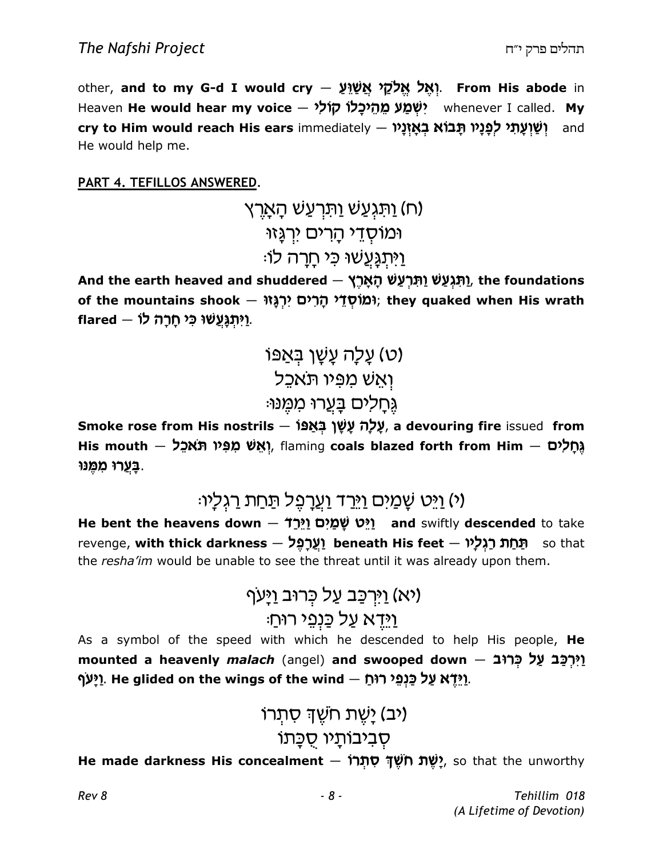other, and to my G-d I would cry – וְאֱל אֱלֹקֵל אֱשׁׁۣוֵ From His abode in Heaven **He would hear my voice – יִשְׁמַע מֵהֵיכָלוֹ קוֹלִי** whenever I called. **My** c**ry to Him would reach His ears** immediately – **וְשַׁוְעָתִ***י לְ***פָּנָיו תָּבוֹא בְאָזְנָיו** – and He would help me.

PART 4. TEFILLOS ANSWERED.

ח) וַתֹּגְעֲשׁ וַתְּרְעַשׁ הָא<u>ָר</u>ְץ) ומוסדי הרים ירגַזוּ <u>ּויְתְגַעֲשׁוּ כִּי חַרַה לו:</u>

And the earth heaved and shuddered — תִּגְּעֲשׁ וַתְּרְעֲשׁ הָאָרֶץ), the foundations of the mountains shook — וְמִוֹּסְדֵי הָרִים; they quaked when His wrath ּוַיִּתְגְּעֲשׁוּ כִּי חָרָה לוֹ.

 IP t C i Jg vkg (y) kft«T uh P n J t u :UB N n UrgC ohk jD

Smoke rose from His nostrils – עֲלָה עָשָׁן בִּאַפּוֹ, a devouring fire issued from His mouth — גְּחָלִים (אֲשׁ מִפִּיו תֹּאכֵל, flaming coals blazed forth from Him – גְּחָלִים ַבְּעֲרוּ מִמֶּנוּ.

### (י) וַיֵּט שַׁמַיִּם וַיֵּרַד וַעֲרַפֶּל תַּחַת רַגְלַיוּ:

He bent the heavens down  $-$  יַיֵּט שְׁמַיִם וַיֵּרַ $1$  and swiftly descended to take revenge, with thick darkness – (אֱרֹפֵּל beneath His feet – תֵּחַת רַגְלַיוּ the resha'im would be unable to see the threat until it was already upon them.

 ;«gHu cUr F k g c F rHu (th) : jUr h pb F k g t sHu

As a symbol of the speed with which he descended to help His people, He mounted a heavenly *malach* (angel) and swooped down – יִיּרְכַּב עַל כְּרוּב ַיַּעַּף. He glided on the wings of the wind  $-$  אֲנַעַּף.

# (יב) יַשֳת חשֳד סת**ָרו**ֹ ּסְבִיבוֹתַיו סֻכָּתוֹ

He **made darkness His concealment — יָשֶׁת חֹשֶׁדְּ סִתְּרוֹ?**, so that the unworthy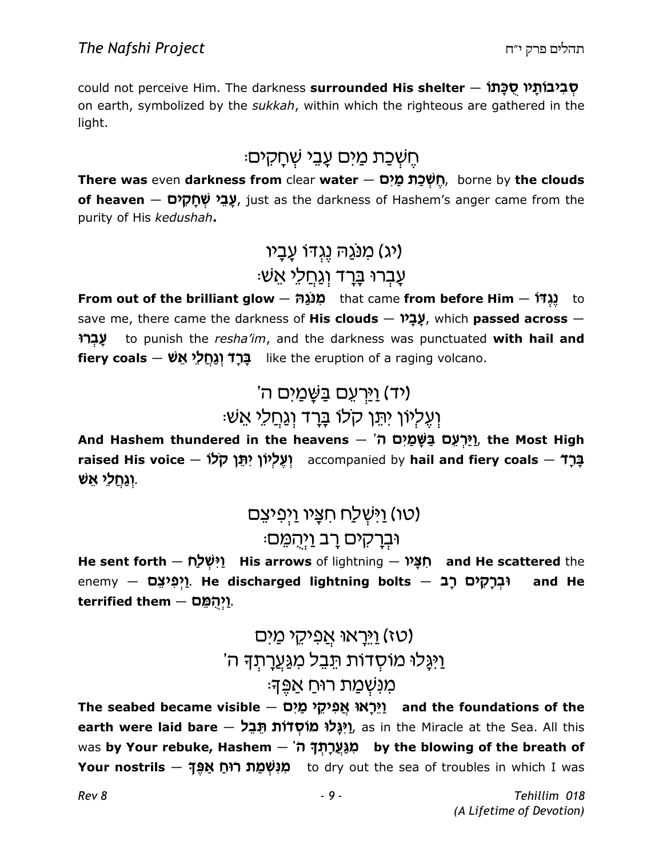could not perceive Him. The darkness **surrounded His shelter – סְבִיבוֹתְיו סֻכָּתוֹ** on earth, symbolized by the sukkah, within which the righteous are gathered in the light.

### ּהֵשְׁכַת מַיִּם עָבֵי שְׁחָקִים

There was even darkness from clear water — חֶשְׁכַת מַיִּם, borne by the clouds **of heaven** — **שֲבֵי שְׁחָקִים , j**ust as the darkness of Hashem's anger came from the purity of His kedushah.

# מנגה נגדו עַבָיו) (**יג** ּעֲבָרוּ בָּרַד וְגַחֲלֵי אֵשׁ

From out of the brilliant glow — מְנֹגַה that came from before Him — נְגְדֹּרׁ save me, there came the darkness of His clouds - עֲבָיוּ, which passed across -עברו to punish the resha'im, and the darkness was punctuated with hail and fiery coals — בְּרָד וְגֶחֱלְי אֵשׁ

# (יד) <u>וי</u>ַּרְעֵם בַּשֶּׁמַיִם ה'

### :וַעֲלִיוֹן יִתֵּן קלוֹ בַּרַד וְגַחֲלֵי אֵשׁ

And Hashem thundered in the heavens  $-$  'יַּרְעֵם בַּשָּׁמַיִם ה $\frac{p}{2}$  the Most High raised His voice — נְּבֶל إلإלְיוֹן יִתֵּן קלו <u>וגחלי אש.</u>

> <u>וישָׁלַח חִצָּיו וַיְפִיצֵם)</u> וּבְרָקים רַב <u>ו</u>יִהְמֵם:

He sent forth — יִיִּשְׁלַח His arrows of lightning — מְצָיח and He scattered the enemy — יַקים רָב – <mark>p</mark>ְיֵם (אָנוּצָם). **He discharged lightning bolts** and He terrified them  $-$  10.

### <u>ויראו אפיקי מים)</u> <u>ויְג</u>ַלוּ מוֹסְדוֹת תֵּבֵל מְגַּעֲרַתְדָּ ה' ּמִנְשָׁמַת רוּחַ אַפֵּד<sup>ָ</sup>

The seabed became visible — יֵּרְאוּ אֲפִיקֵי מַיִם and the foundations of the e**arth were laid bare — יִגְּלוּ מוֹסְדוֹת הֵבֵל)**, as in the Miracle at the Sea. All this was <mark>by Your rebuke, Hashem  $-$  'بَرْدِبْد</mark>ְדָּ by the blowing of the breath of <mark>Your nostrils — מְנִשְׁמַת רוּחַ אַפֶּךָ (</mark>to dry out the sea of troubles in which I was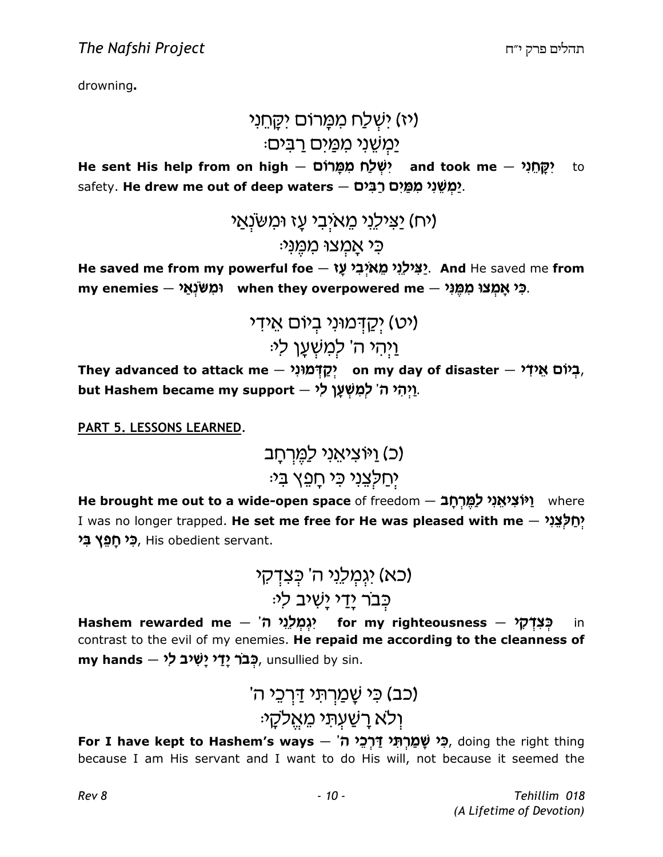drowning.

### ויז) ישלח ממרום יקחני) ימשני ממים רבים:

He sent His help from on high — יִשְּׁלַח מִמְּרוֹם (He sent His help from on high h to safety. **He drew me out of deep waters**  $-$  **יַמְשֵׁנִי מִמֵּיִם רַבִּים.** 

> יבילני מאיבי עז ומשנאי) (יח) כי אמצו ממֵני:

He saved me from my powerful foe – אַצִּילְנִי מֵאיְבִי עָז And He saved me from my enemies – פֿי אָמְצוּ (מִשּׂנְיִי) when they overpowered me – בֿ

> (יט) יִקַדְּמוּנִי בִיוֹם אֵידִי ֿוַיהי ה' למשַׁעַן לי

They advanced to attack me  $-$  רְגִיֹם אֵידִי $\,$  on my day of disaster  $-$  הָ $\,$ but Hashem became my support – יַיְהִי ה' לְמִשְׁעָן לִי.

PART 5. LESSONS LEARNED.

(כ) ויוציאני למרחב יִחַלְצֵנִי כִּי חַפֵּץ בִ*יּ*:

He brought me out to a wide-open space of freedom – יַיֹּצִיאֵנִי לַמֶּרְחָבֿ where I was no longer trapped. **He set me free for He was pleased with me** — יְ**חַלְצֵנִי** ב**ִי חָפֵץ בִּי,** His obedient servant.

 h e s m F wv hbk ndh (tf) :hk ch Jh h sh r«c F

Hashem rewarded me — יְגְמְלֵיֵי for my righteousness — بَمْ in contrast to the evil of my enemies. He repaid me according to the cleanness of  $\,$ my hands  $\,$ לְבֹר יָדַי יָשִׁיב לִי, unsullied by sin.

# (כב) כִּי שֵׁמַרְתֵּי דַּרְכֵי ה<sup>ִי</sup> ֿולא רַשַׁעִתי מֵאֱלקַי

For I have kept to Hashem's ways — הָי שָׁמַרְתִּי דַּרְכֵי, doing the right thing because I am His servant and I want to do His will, not because it seemed the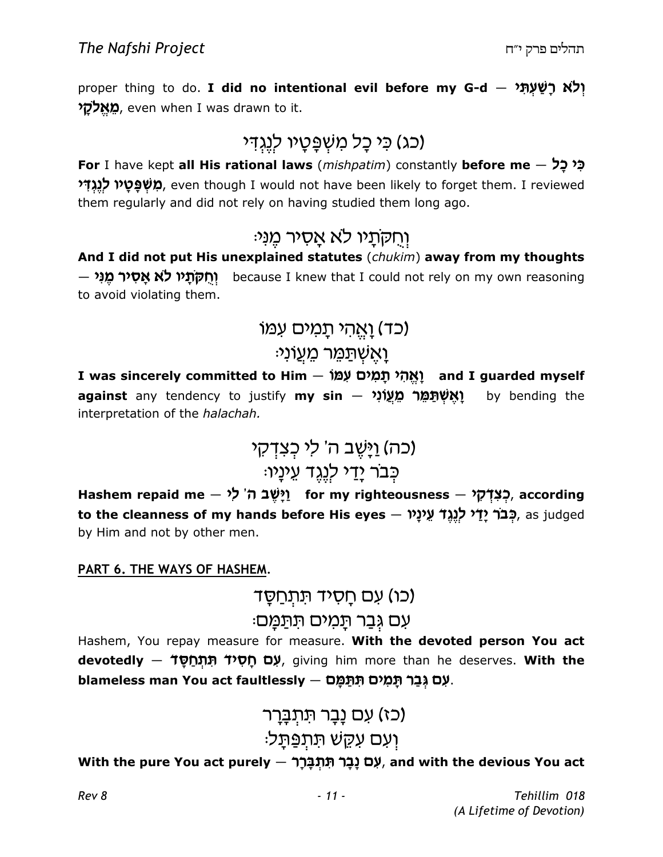proper thing to do. **I did no intentional evil before my G-d**  $-$  יְלֹא רָשַׁעְתָּ מָאֵלקֵי, even when I was drawn to it.

# (כג) כִּי כַל מִשְׁפֵּטֵיו לִגְגְדִי

For I have kept all His rational laws (mishpatim) constantly before me  $-$  לִ $\zeta$ מ**ְשְׁפָּטָיו לְנֶגְדִּי**, even though I would not have been likely to forget them. I reviewed them regularly and did not rely on having studied them long ago.

### וְחִקְתַיו לְא אֲסִיר מֵנִי:

And I did not put His unexplained statutes (chukim) away from my thoughts <mark>ּהָיר מֶנִי</mark> ( because I knew that I could not rely on my own reasoning to avoid violating them.

### ובד) <u>ואָהי תמים</u> עמו)

#### ֿוַאֲשְׁתַמֵּר מֵעֲוֹנ<sup>ָ</sup>

I was sincerely committed to Him — יְאֱהִי תָּמִים עָׁמוֹ against any tendency to justify my sin — יָאֶשְׁתַּמֵּר מֵעֲוֹנִי by bending the interpretation of the halachah.

 h e s m f hk wv c JHu (vf) :uhbhg sdbk h sh r«c F

Hashem repaid me – יָלְשֶׁב ה' לִי) for my righteousness — בְצִדְקִי to the cleanness of my hands before His eyes – כְּבֹר יָדַי לְגֵד עֵינָיו, as judged by Him and not by other men.

#### PART 6. THE WAYS OF HASHEM.

(כו) עם חַסִיד תִּתְחַסֵּד

#### ּעִם גְּבַר תָּמִים תּתַּמַּם

Hashem, You repay measure for measure. With the devoted person You act d<mark>evotedly — לָכָם חָסִידֿ תִּתְחַסָּד,</mark> giving him more than he deserves. **With the** blameless man You act faultlessly — אָם גְּבַר תָּמִים.

# (כז) עם נַבַר תִּתְב<u>ַ</u>רִר ועם עקש תתפתל:

#### With the pure You act purely – עָם נָבָר תִּתְבָרָ, and with the devious You act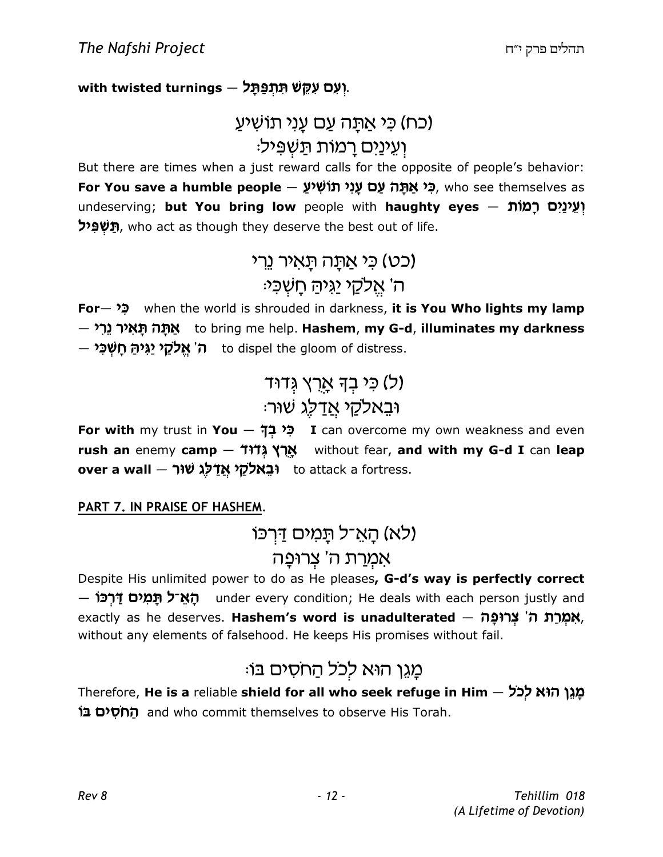with twisted turnings – יְעִם עִקֵּשׁ תִּתְפַּתָּל,

### (כח) כִּי אַתַּה עַם עַנִי תוֹשִׁיעַ וַעֵ*ינַיִּם רַמוֹת תַּ*שְׁפִּיל:

But there are times when a just reward calls for the opposite of people's behavior: F**or You save a humble people — פִ<sup>י</sup> אַתָּה עַם עָנִי תוֹשִׁיעָ,** who see themselves as undeserving; but You bring low people with haughty eyes – וְעֵינַיִם רָמוֹת **רַיִּשְׁפִּיל,** who act as though they deserve the best out of life.

# (כט) כי אתה תאיר נרי ה' אֵלקֵי יַגִּיהַ חֲשְׁכִּי<sub>ֹ</sub>

For – ל when the world is shrouded in darkness, it is You Who lights my lamp  $-$  אַתָּה תָּאִיר גֵרִי to bring me help. <mark>Hashem, my G-d, illuminates my darkness</mark>  $-$  ה' אֱלֹקֵי יַגִּיהַּ חָשְׁכִּי h to dispel the gloom of distress.

# (ל) כֵּי בַדְּ אַרְץ גֵּדוּד וּבֵאלקַי <u>אַד</u>לִג שׁוּר

For with my trust in You - לְי בְךָ I can overcome my own weakness and even rush an enemy camp  $-$  אֲרֶץ (אֲלוּ without fear, and with my G-d I can leap over a wall — וּבֵאלקי אֵדַל ko attack a fortress.

PART 7. IN PRAISE OF HASHEM.

### ולא) הַאֵ־ל תַּמִים דַּרְכּו)

#### אַמְרַת ה' צְרוּפַה

Despite His unlimited power to do as He pleases, G-d's way is perfectly correct – האָ־ל תַּמִים דַּרְכּוֹ under every condition; He deals with each person justly and exactly as he deserves. **Hashem's word is unadulterated — אִמְרַת ה**ֹ' **צְרוּפָה,** without any elements of falsehood. He keeps His promises without fail.

# מֵגֶן הוא לכל הַחסִים בּוֹ:

Therefore, He is a reliable shield for all who seek refuge in Him – מֲגֵן הוּא לְכֹל ל**ְחֹסִים בּוֹ** $\Box$  and who commit themselves to observe His Torah.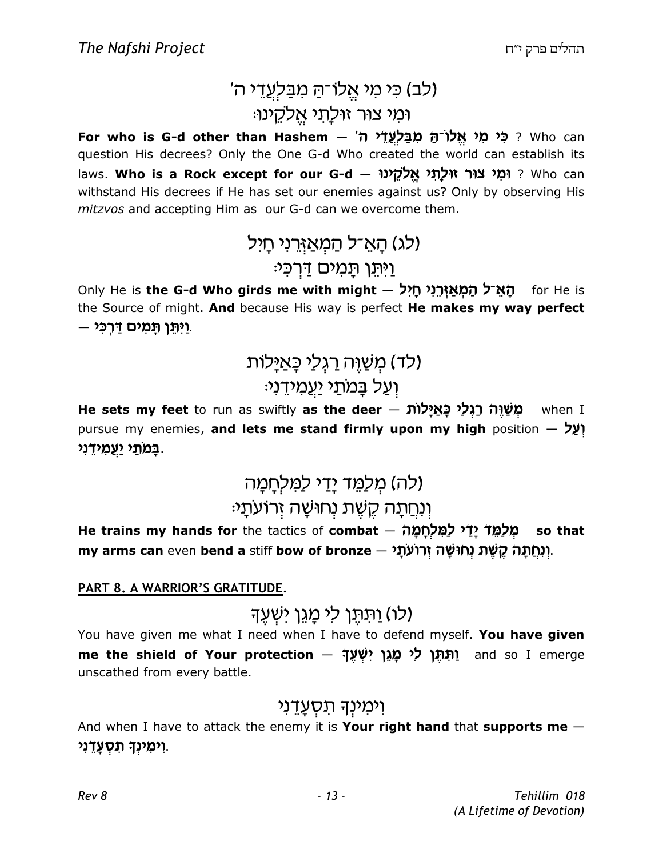### 'ולב) כִּי מִי אֱלוֹ־הַ מְבַּלְעֲדֵי ה' ומי צור זוּלַתי אֵלקֵינוּ:

F**or who is G-d other than Hashem — מַבַּלְעֲדֵי ה' - For who is G-d other than Hashem** question His decrees? Only the One G-d Who created the world can establish its laws. **Who is a Rock except for our G-d ~ יִמְי צוּר זוּלְתִי אֱלֹקֵינוּ Pho is a Rock except for our G-d** withstand His decrees if He has set our enemies against us? Only by observing His mitzvos and accepting Him as our G-d can we overcome them.

> (לג) הַאֲ־ל הַמְאֲזְרֵנִי חַיִּל <u>ו</u>יתו תמים דרכי:

Only He is **the G-d Who girds me with might – הָאֵ־ל הַמְאַזְרֵנִי חָיִל p for He is** the Source of might. And because His way is perfect He makes my way perfect וַיְּתֵן תָּמִים דַּרְכִּי ...

# (לד) מִשַׁוֵּה רַגְלַי כָּאַיַּלוֹת) ועל במתי יעמידני:

He sets my feet to run as swiftly as the deer - מְשׁׁיֶה רַגְלַי כָּאַיָּלוֹת when I pursue my enemies, and lets me stand firmly upon my high position  $\gamma$ ַבָּמֹתַ*י יַ*עֲמִידָנִי.

#### (לה) מִלַמֵּד יַדַי לַמְלְחַמַה :ונחתה קשת נחושה זרועתי

He trains my hands for the tactics of **combat** — מְלַמֵּד יָדַי לַמִּלְחָמָה my arms can even **bend a** stiff **bow of bronze – יְנְחֲתָ***ּה* **קֶשֶּׁת נְחוּשָׁה**, .

#### PART 8. A WARRIOR'S GRATITUDE.

ולו) ותתו לי מגו ישעד)

You have given me what I need when I have to defend myself. You have given me the shield of Your protection – יַתְּתָּן לִי מָגֵן יִשְׁעֶךָ and so I emerge unscathed from every battle.

#### וימִינִד תּסְעֲדֵני

And when I have to attack the enemy it is Your right hand that supports me  $-$ וִימִינְךָ תִּסְעֲדָנִי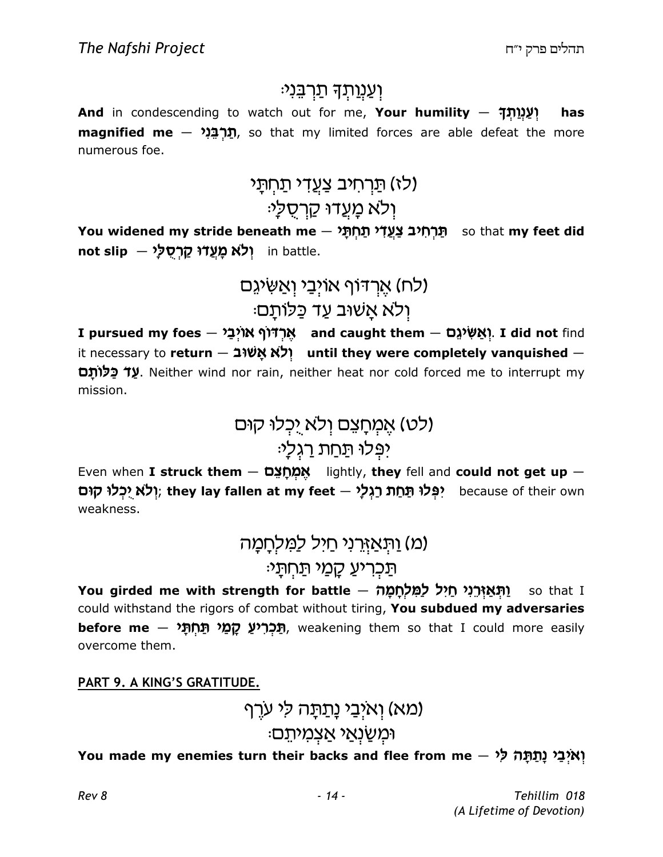#### <u>וְעַנְוַתְ</u>דָּ תַרְבֵּנִי:

And in condescending to watch out for me, Your humility  $-$  ? whas  $m$ agnified me  $-$  תַּרְבֵּנִי, so that my limited forces are able defeat the more numerous foe.

### <u>(לז) תַּרְחִיב צַעֲדִי תַחְתָּי</u>

### ולא מַעֲדוּ קַרְסָלַ<sup>,</sup>

You widened my stride beneath me — תַּרְחִיב צַעֲדִי תַּחְתָּי so that my feet did not slip – וְלֹא מָעֲדוּ קַרְסֻלַּי

### כח) אַרדוף אויִבי ואַשִּׂיגֵם) ּוְלֹא אַשׁוּב עַד כַּלוֹתַם:

I pursued my foes — אֶרְדֹּוֹף אוֹיְבַיּ , and caught them — אֲרֹ $\mu$ אַשִּׂיגֵם . I did not find it necessary to return – וְלֹא אֲשׁוּב
(dit necessary to return – it necessary to return – it **et כֵּלוֹתֵם** (W. Neither wind nor rain, neither heat nor cold forced me to interrupt my mission.

> (לט) אֵמְחָצֵם וְלֹא יְכְלוּ קוּם יפִלוּ תַּחַת רַגְלַ<sup>נ</sup>ּ

Even when I struck them  $-$  אֲמְחַצֵּם lightly, they fell and could not get up  $-$ יִלְא יִכְלוּ קוּם they lay fallen at my feet — יִפְּלוּ תַּחַת רַגְלַי (ithey lay fallen at my feet - יִ weakness.

> <u>(מ) וַתְּאַזְרְנִי חַיְל לַמְלְחָמַה</u> תַּכְרִיעַ קַמַי תַּחְתֵ*י*:

You girded me with strength for battle — יַתְּאַזְרֵגִי חַיִּל לַמִּלְחָמָה [עֲלֹת could withstand the rigors of combat without tiring, You subdued my adversaries <mark>תַּכְרִיעַ קָמַי תַּחְתָּי — before me</mark><br>תֵּבְל הָ**מֵי הַמְהָ**ל — hem so that I could more easily overcome them.

#### PART 9. A KING'S GRATITUDE.

(מא) ואיִבי נַתַּתָּה לי ערֵף וּמִשַׂנְאַי אַצְמִיתֵם<sub>ׂ</sub>

You made my enemies turn their backs and flee from me – יְאיְבַי נָתַתָּה לִי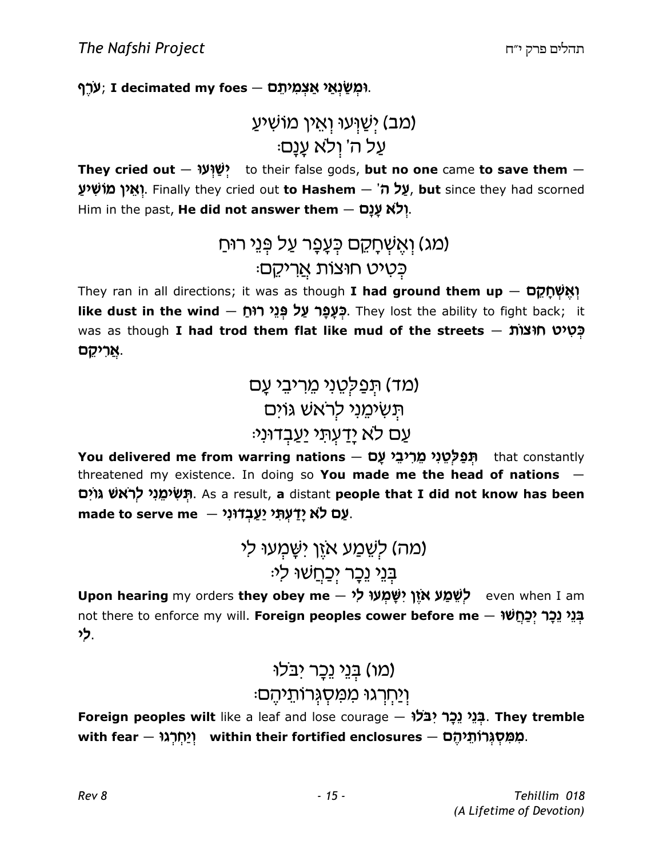יִעְרֶף, I decimated my foes — יִמְשַׂנְאַי אַצְמִיתֵם,

```
(מב) ישועו ואין מושיע
   ּעֲל ה' וְלֹא עֲנַם
```
They cried out  $-$  יָשׁוְעַר to their false gods, but no one came to save them  $-$ **ָיאֵין מוֹשִׁיעַ,** Finally they cried out **to Hashem**  $-$  **אֵל ה', but** since they had scorned Him in the past, He did not answer them - יִלֹא עַנַם.

```
(מג) וְאֱשְׁחָקֵם כִּעֲפָר עַל פְּנֵי רוּחַ
       ּכַטִיט חוצות <u>א</u>ריקֵם
```
They ran in all directions; it was as though **I had ground them up**  $-$  **נְאֲשְׁחֲקָם** like dust in the wind – בְּעֲפָר עַל פְּגֵי רוּחָ. They lost the ability to fight back; it was as though **I had trod them flat like mud of the streets – בְּטִיט חוּצוֹת** <mark>ְאֲרִיקֵם</mark>.

> (מד) תַפַלְטֵנִי מֵרִיבֵי עַם תשימוי לראש גוים עֵם לֹא יַדַעִתִּי יַעֲבִדוּנִי<sub></sub>

You delivered me from warring nations — תְּפַלְטֵנִי מֵרִיבֵי עָם hat constantly threatened my existence. In doing so You made me the head of nations  $-$ תְּשִׂימֵנִי לְרֹאשׁ גּוֹיִם, As a result, **a** distant **people that I did not know has been** made to serve me — אָמַ יַצְבְדוּנִי.

> (מה) לִשֶׁמַע אזֵן ישַׁמְעוּ לִי בִּנֵי נֵכָר יִכַחֲשׁוּ לִי<sub>ּ</sub>

Upon hearing my orders they obey me ~ לְשֵׁמַע אֹזֶן יִשְׁמְעוּ לִי not there to enforce my will. Foreign peoples cower before me – בְּנֵי נֵכָר יִכַחֲשׁוּ h k.

### (מו) בִּנֵי נֵכָר יבלוּ וְיַחְרְגוּ מִמְסְגִּרוֹתֵיהֵם:

Foreign peoples wilt like a leaf and lose courage – בְּנֵי נֵכָר יִבֹּלוּ, They tremble with fear — מְמִּסְגְרוֹתֵיהֶם within their fortified enclosures — מִמְּסְגְרוֹתֵיהֶם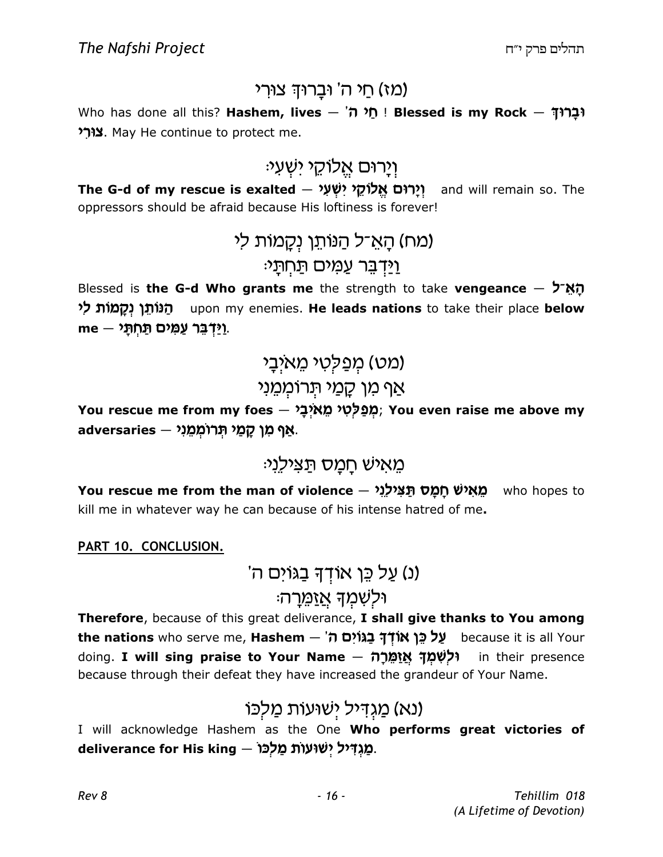#### מז) חי ה' וּבַרוּךְ צוּרִי)

Who has done all this? Hashem, lives – 'חֲל ה' Blessed is my Rock – נְבַרוּךְ צורי May He continue to protect me.

# וַיַרוּם אֲלוֹקֵי יִשְׁעָי<sub>ֿ</sub>

**The G-d of my rescue is exalted — יְיָרוּם אֱלוֹקֵי יִשְׁעִ***י***? J and will remain so. The** oppressors should be afraid because His loftiness is forever!

> (מח) הָאֵ־ל הַנּוֹתֵן נִקֲמוֹת לִי <u>וידבר עמים תחתי:</u>

Blessed is the G-d Who grants me the strength to take vengeance  $\frac{1}{2}$  the G-d Who grants me the strength to take vengeance הַנּוֹתֵן נְקָמוֹת לי upon my enemies. **He leads nations** to take their place **below** me — יַיַּדְבֵּר עַמִּים תַּחְתָ*י*.

> (מט) מִפַּלְטִי מֵאיִבָי אַף מַן קַמַי תְּרוֹמִמֵנִי

You rescue me from my foes — מְפַלְטִי מֵאיְבָי, You even raise me above my <mark>ּאַף מִן קָמַי תְּרוֹמְמֵנִי — adversaries</mark>

### מאיש חמס תצילני:

You rescue me from the man of violence — מֵאִישׁ חָמָס תַּצִּילֵנִי<br>מאַישׁ p who hopes to kill me in whatever way he can because of his intense hatred of me.

#### PART 10. CONCLUSION.

'נ) על כֵּן אוֹדִדּ בַגּוֹים ה)

#### וּלשִׁמַד <u>אַזמֵ</u>רָה

Therefore, because of this great deliverance, I shall give thanks to You among t**he nations** who serve me, **Hashem – עֲל כֵּן אוֹדְךָ בַגּוֹיִם ה**ֹ doing. I will sing praise to Your Name – ולשמד אזמרה in their presence because through their defeat they have increased the grandeur of Your Name.

### ונא) <u>מגדיל ישועות מלכו</u>)

I will acknowledge Hashem as the One Who performs great victories of deliverance for His king — מַגְדִּיל יְשׁוּעוֹת מַלְכּוֹ.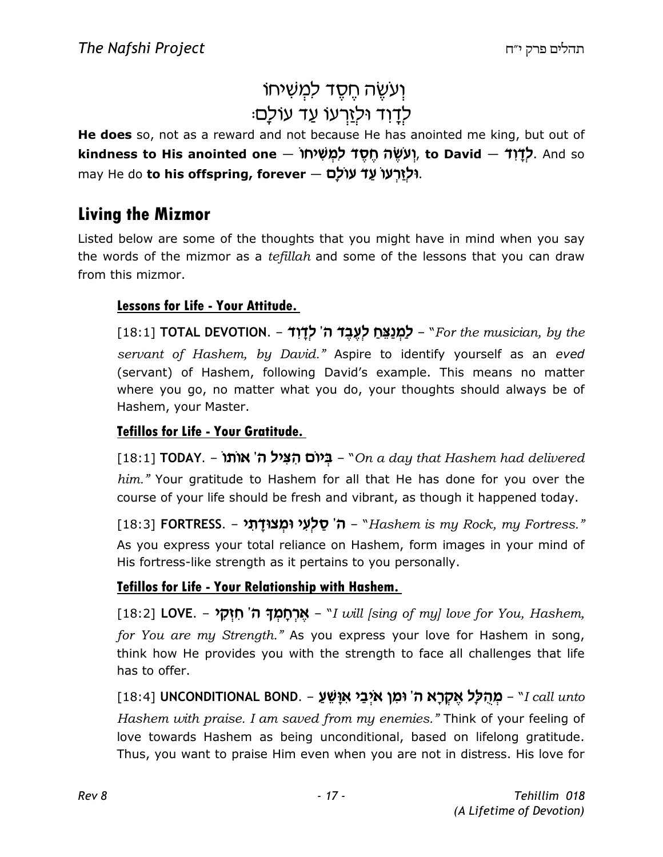# וְעִשֶּׁה חֵסֱד למְשִׁיחוֹ ּלְדַוְד וּלְזַרְעוֹ עַד עוֹלַם

He does so, not as a reward and not because He has anointed me king, but out of kindness to His anointed one — יָעְשֶׂה חֶסֶד לִמְשִׁיחוֹ, to David — לְדָוִד, And so may He do to his offspring, forever – וּלְזַרְעוֹ עַד עוֹלָם.

#### Living the Mizmor

Listed below are some of the thoughts that you might have in mind when you say the words of the mizmor as a *tefillah* and some of the lessons that you can draw from this mizmor.

#### Lessons for Life - Your Attitude.

[18:1] TOTAL DEVOTION. – לַמְנַצֵּחַ לְעֶבֶד ה' לְדָוִד – "For the musician, by the servant of Hashem, by David." Aspire to identify yourself as an eved (servant) of Hashem, following David's example. This means no matter where you go, no matter what you do, your thoughts should always be of Hashem, your Master.

#### Tefillos for Life - Your Gratitude.

[18:1] TODAY. – **`A'ir (הִצְיל ה' אוֹתוֹ** – "On a day that Hashem had delivered him." Your gratitude to Hashem for all that He has done for you over the course of your life should be fresh and vibrant, as though it happened today.

[18:3] **FORTRESS. – ה' סַלְעִי וּמְצוּדָתִי -** "Hashem is my Rock, my Fortress." As you express your total reliance on Hashem, form images in your mind of His fortress-like strength as it pertains to you personally.

#### Tefillos for Life - Your Relationship with Hashem.

[18:2] **LOVE. – 'אֲרְחָמְךָ ה' חִזְקָי A'** Muil [sing of my] love for You, Hashem, for You are my Strength." As you express your love for Hashem in song, think how He provides you with the strength to face all challenges that life has to offer.

[18:4] UNCONDITIONAL BOND. – מְהֻלָּל אֶקְרָא ה' וּמִן אֹיְבַי אִוָּשֵׁעַ – "I call unto Hashem with praise. I am saved from my enemies." Think of your feeling of love towards Hashem as being unconditional, based on lifelong gratitude. Thus, you want to praise Him even when you are not in distress. His love for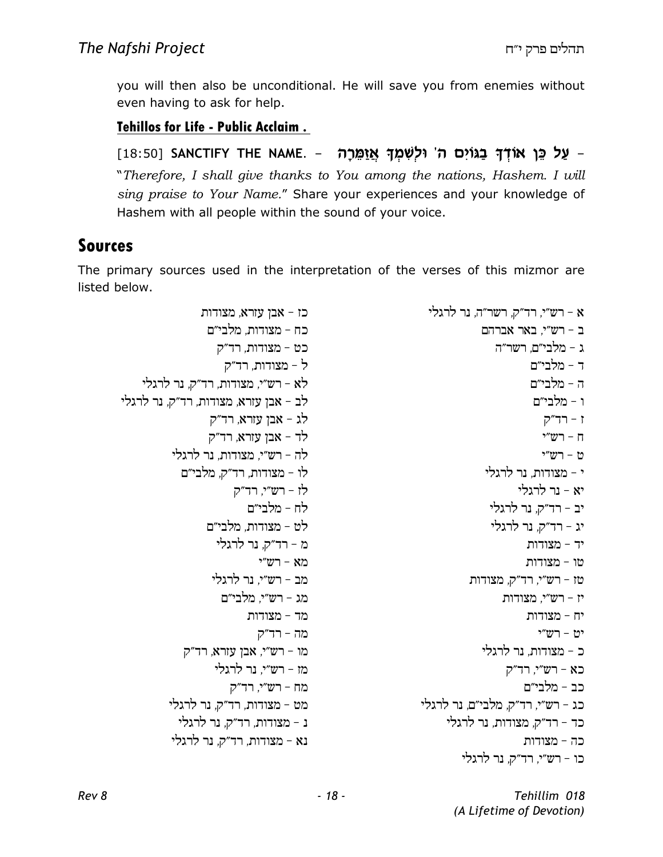you will then also be unconditional. He will save you from enemies without even having to ask for help.

#### Tehillos for Life - Public Acclaim .

ַעַל כֵּן אוֹדְךָ בַגּוֹיִם ה' וּלְשִׁמְךָ אֲזַמֵּרָה – DIB:50] SANCTIFY THE NAME. – "Therefore, I shall give thanks to You among the nations, Hashem. I will sing praise to Your Name." Share your experiences and your knowledge of Hashem with all people within the sound of your voice.

#### Sources

The primary sources used in the interpretation of the verses of this mizmor are listed below.

 $\kappa$  - רש"י, רד"ק, רשר"ה, נר לרגלי  $c = r$ ב - רש"י, באר ג – מלבי״ם. רשר״ה ר - מלבי״ם ה - מלבי״ם ו - מלבי״ם  $7 - 7$  -  $7 - 7$ ח – רש״י ט - רש״י  $\cdot$  - מצודות. נר לרגלי  $r$ א - נר לרגלי יב - רד"ק, נר לרגלי יג - רד"ק, נר לרגלי יד - מצודות טו - מצודות  $-$ טז - רש"י, רד"ק, מצודות יז - רש"י, מצודות יח - מצודות  $$  $n''$ ימ - רש"י כ – מצודות, נר לרגלי כא - רש"י, רד"ק כב – מלבי״ם כג - רש״י. רד״ק. מלבי״ם. נר לרגלי כד - רד״ק, מצודות, נר לרגלי כה - מצודות כו – רש״י, רד״ק, נר לרגלי כז - אבן עזרא, מצודות כח – מצודות, מלבי״ם כט - מצודות, רד"ק  $\zeta$  - מצודות, רד"ק לא - רש"י, מצודות, רד"ק, נר לרגלי  $\kappa$ לב - אבן עזרא, מצודות, רד"ק, נר לרגלי לג - אבן עזרא, רד״ק  $\zeta$ לד - אבן עזרא, רד"ק לה - רש"י. מצודות. נר לרגלי לו - מצודות, רד״ק, מלבי״ם  $\zeta$ לז - רש״י, רד״ק לח - מלבי״ם לט - מצודות. מלבי״ם מ - רד״ק, נר לרגלי מא $-$ מב - רש״י. נר לרגלי מג - רש״י, מלבי״ם מד - מצודות מה - רד״ק מו - רש"י, אבן עזרא, רד"ק מז - רש״י, נר לרגלי מח - רש"י, רד"ק מט – מצודות, רד״ק, נר לרגלי נ - מצודות, רד"ק, נר לרגלי  $i$ נא - מצודות, רד״ק, נר לרגלי